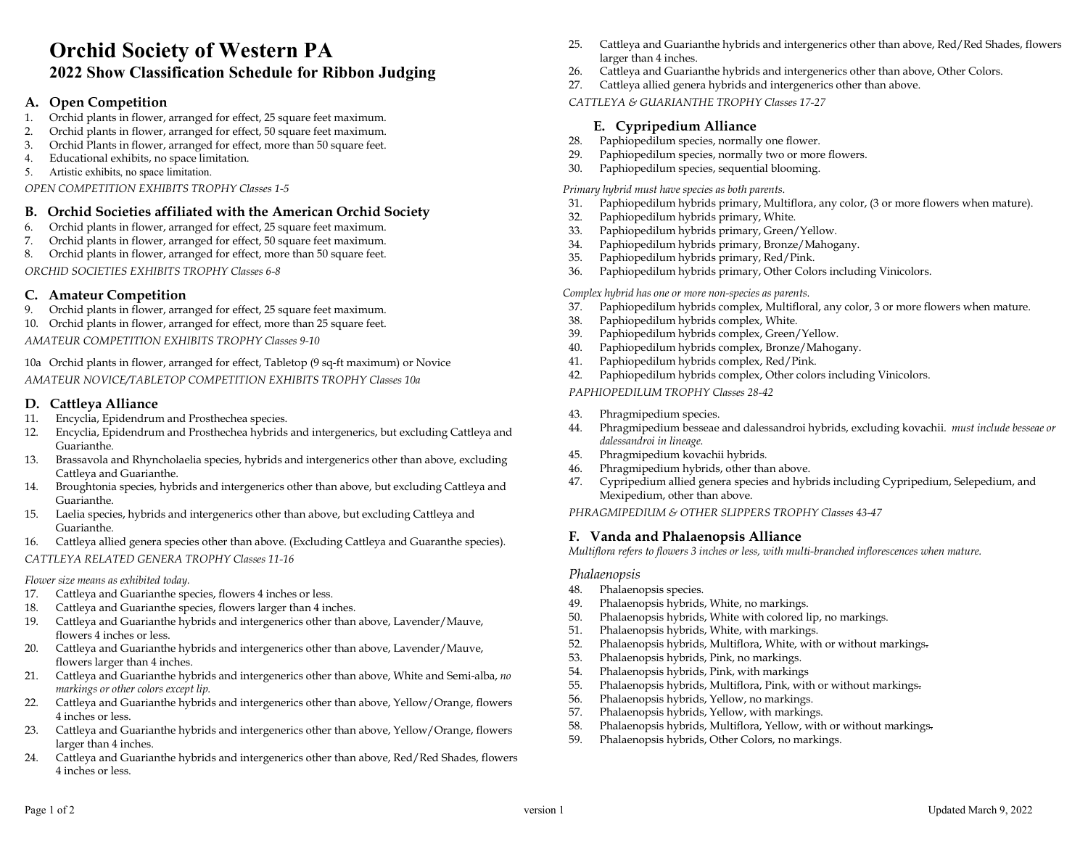# Orchid Society of Western PA 2022 Show Classification Schedule for Ribbon Judging

# A. Open Competition

- 1. Orchid plants in flower, arranged for effect, 25 square feet maximum.
- 2. Orchid plants in flower, arranged for effect, 50 square feet maximum.
- 3. Orchid Plants in flower, arranged for effect, more than 50 square feet.
- 4. Educational exhibits, no space limitation.
- 5. Artistic exhibits, no space limitation.

OPEN COMPETITION EXHIBITS TROPHY Classes 1-5

# B. Orchid Societies affiliated with the American Orchid Society

- 6. Orchid plants in flower, arranged for effect, 25 square feet maximum.
- 7. Orchid plants in flower, arranged for effect, 50 square feet maximum.
- 8. Orchid plants in flower, arranged for effect, more than 50 square feet.

ORCHID SOCIETIES EXHIBITS TROPHY Classes 6-8

# C. Amateur Competition

- 9. Orchid plants in flower, arranged for effect, 25 square feet maximum.
- 10. Orchid plants in flower, arranged for effect, more than 25 square feet.

AMATEUR COMPETITION EXHIBITS TROPHY Classes 9-10

10a Orchid plants in flower, arranged for effect, Tabletop (9 sq-ft maximum) or Novice AMATEUR NOVICE/TABLETOP COMPETITION EXHIBITS TROPHY Classes 10a

### D. Cattleya Alliance

- 11. Encyclia, Epidendrum and Prosthechea species.
- 12. Encyclia, Epidendrum and Prosthechea hybrids and intergenerics, but excluding Cattleya and Guarianthe.
- 13. Brassavola and Rhyncholaelia species, hybrids and intergenerics other than above, excluding Cattleya and Guarianthe.
- 14. Broughtonia species, hybrids and intergenerics other than above, but excluding Cattleya and Guarianthe.
- 15. Laelia species, hybrids and intergenerics other than above, but excluding Cattleya and Guarianthe.
- 16. Cattleya allied genera species other than above. (Excluding Cattleya and Guaranthe species).

# CATTLEYA RELATED GENERA TROPHY Classes 11-16

# Flower size means as exhibited today.

- 17. Cattleya and Guarianthe species, flowers 4 inches or less.
- 18. Cattleya and Guarianthe species, flowers larger than 4 inches.
- 19. Cattleya and Guarianthe hybrids and intergenerics other than above, Lavender/Mauve, flowers 4 inches or less.
- 20. Cattleya and Guarianthe hybrids and intergenerics other than above, Lavender/Mauve, flowers larger than 4 inches.
- 21. Cattleya and Guarianthe hybrids and intergenerics other than above, White and Semi-alba, no markings or other colors except lip.
- 22. Cattleya and Guarianthe hybrids and intergenerics other than above, Yellow/Orange, flowers 4 inches or less.
- 23. Cattleya and Guarianthe hybrids and intergenerics other than above, Yellow/Orange, flowers larger than 4 inches.
- 24. Cattleya and Guarianthe hybrids and intergenerics other than above, Red/Red Shades, flowers 4 inches or less.
- 25. Cattleya and Guarianthe hybrids and intergenerics other than above, Red/Red Shades, flowers larger than 4 inches.
- 26. Cattleya and Guarianthe hybrids and intergenerics other than above, Other Colors.
- 27. Cattleya allied genera hybrids and intergenerics other than above.
- CATTLEYA & GUARIANTHE TROPHY Classes 17-27

# E. Cypripedium Alliance

- 28. Paphiopedilum species, normally one flower.
- 29. Paphiopedilum species, normally two or more flowers.
- 30. Paphiopedilum species, sequential blooming.

Primary hybrid must have species as both parents.

- 31. Paphiopedilum hybrids primary, Multiflora, any color, (3 or more flowers when mature).
- 32. Paphiopedilum hybrids primary, White.
- 33. Paphiopedilum hybrids primary, Green/Yellow.
- 34. Paphiopedilum hybrids primary, Bronze/Mahogany.
- 35. Paphiopedilum hybrids primary, Red/Pink.
- 36. Paphiopedilum hybrids primary, Other Colors including Vinicolors.

Complex hybrid has one or more non-species as parents.

- 37. Paphiopedilum hybrids complex, Multifloral, any color, 3 or more flowers when mature.
- 38. Paphiopedilum hybrids complex, White.
- 39. Paphiopedilum hybrids complex, Green/Yellow.
- 40. Paphiopedilum hybrids complex, Bronze/Mahogany.
- 41. Paphiopedilum hybrids complex, Red/Pink.
- 42. Paphiopedilum hybrids complex, Other colors including Vinicolors.

PAPHIOPEDILUM TROPHY Classes 28-42

- 43. Phragmipedium species.
- 44. Phragmipedium besseae and dalessandroi hybrids, excluding kovachii. must include besseae or dalessandroi in lineage.
- 45. Phragmipedium kovachii hybrids.
- 46. Phragmipedium hybrids, other than above.
- 47. Cypripedium allied genera species and hybrids including Cypripedium, Selepedium, and Mexipedium, other than above.

PHRAGMIPEDIUM & OTHER SLIPPERS TROPHY Classes 43-47

# F. Vanda and Phalaenopsis Alliance

Multiflora refers to flowers 3 inches or less, with multi-branched inflorescences when mature.

# Phalaenopsis

- 48. Phalaenopsis species.
- 49. Phalaenopsis hybrids, White, no markings.
- 50. Phalaenopsis hybrids, White with colored lip, no markings.
- 51. Phalaenopsis hybrids, White, with markings.
- 52. Phalaenopsis hybrids, Multiflora, White, with or without markings.
- 53. Phalaenopsis hybrids, Pink, no markings.
- 54. Phalaenopsis hybrids, Pink, with markings
- 55. Phalaenopsis hybrids, Multiflora, Pink, with or without markings.
- 56. Phalaenopsis hybrids, Yellow, no markings.
- 57. Phalaenopsis hybrids, Yellow, with markings.
- 58. Phalaenopsis hybrids, Multiflora, Yellow, with or without markings.
- 59. Phalaenopsis hybrids, Other Colors, no markings.